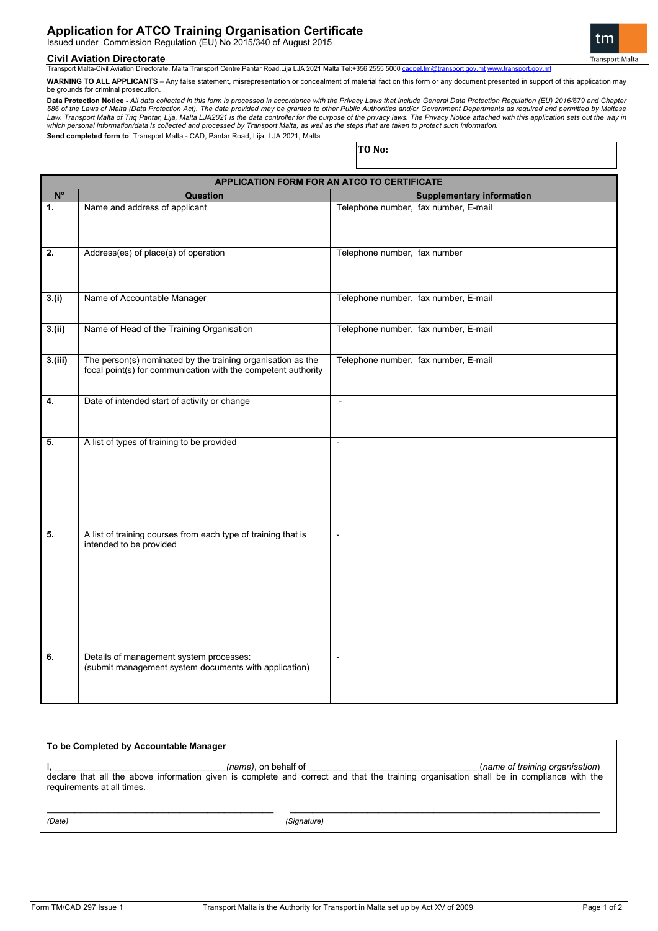# **Application for ATCO Training Organisation Certificate**

Issued under Commission Regulation (EU) No 2015/340 of August 2015

#### **Civil Aviation Directorate**

Transport Malta-Civil Aviation Directorate, Malta Transport Centre,Pantar Road,Lija LJA 2021 Malta.Tel:+356 2555 5000 c

**WARNING TO ALL APPLICANTS** – Any false statement, misrepresentation or concealment of material fact on this form or any document presented in support of this application may be grounds for criminal prosecution.

Data Protection Notice - All data collected in this form is processed in accordance with the Privacy Laws that include General Data Protection Regulation (EU) 2016/679 and Chapter<br>586 of the Laws of Malta (Data Protection *which personal information/data is collected and processed by Transport Malta, as well as the steps that are taken to protect such information.* **Send completed form to**: Transport Malta - CAD, Pantar Road, Lija, LJA 2021, Malta

**TO No:**

**APPLICATION FORM FOR AN ATCO TO CERTIFICATE No Question Supplementary information 1.** Name and address of applicant Telephone number, fax number, E-mail **2.** Address(es) of place(s) of operation Telephone number, fax number **3.(i)** Name of Accountable Manager Telephone number, fax number, E-mail **3.(ii)** Name of Head of the Training Organisation Telephone number, fax number, E-mail **3.(iii)** The person(s) nominated by the training organisation as the focal point(s) for communication with the competent authority Telephone number, fax number, E-mail **4.** Date of intended start of activity or change  $\vert$  -**5.** A list of types of training to be provided **5.** A list of training courses from each type of training that is intended to be provided - **6.** Details of management system processes: (submit management system documents with application) -

**To be Completed by Accountable Manager** I, \_\_\_\_\_\_\_\_\_\_\_\_\_\_\_\_\_\_\_\_\_\_\_\_\_\_\_\_\_\_\_\_\_\_\_*(name)*, on behalf of \_\_\_\_\_\_\_\_\_\_\_\_\_\_\_\_\_\_\_\_\_\_\_\_\_\_\_\_\_\_\_\_\_\_\_(*name of training organisation*) declare that all the above information given is complete and correct and that the training organisation shall be in compliance with the requirements at all times. \_\_\_\_\_\_\_\_\_\_\_\_\_\_\_\_\_\_\_\_\_\_\_\_\_\_\_\_\_\_\_\_\_\_\_\_\_\_\_\_\_ \_\_\_\_\_\_\_\_\_\_\_\_\_\_\_\_\_\_\_\_\_\_\_\_\_\_\_\_\_\_\_\_\_\_\_\_\_\_\_\_\_\_\_\_\_\_\_\_\_\_\_\_\_\_\_\_

*(Date) (Signature)*